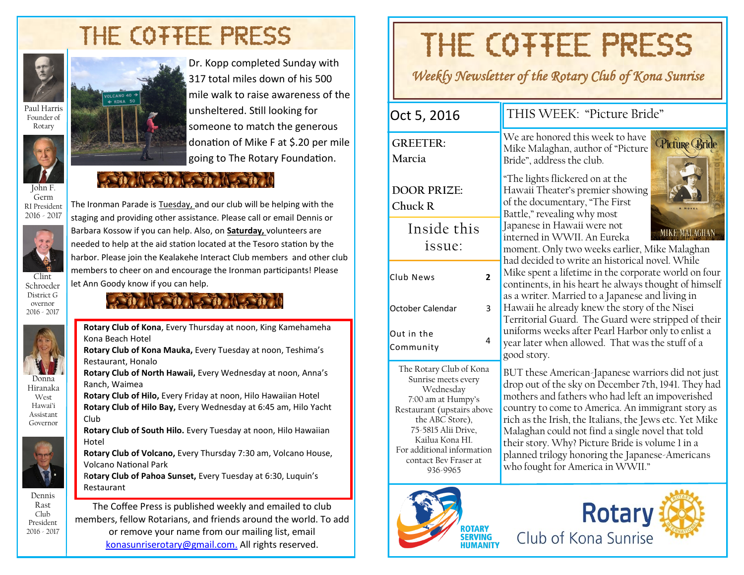## THE COTTEE PRESS



Founder of Rotary

John F. Germ RI President 2016 - 2017

Clint Schroeder District G overnor 2016 - 2017

Donna Hiranaka West Hawai'i Assistant Governor

Dennis Rast Club President 2016 - 2017



Dr. Kopp completed Sunday with 317 total miles down of his 500 mile walk to raise awareness of the unsheltered. Still looking for someone to match the generous donation of Mike F at \$.20 per mile going to The Rotary Foundation.

### 第10年11月1日

The Ironman Parade is Tuesday, and our club will be helping with the staging and providing other assistance. Please call or email Dennis or Barbara Kossow if you can help. Also, on **Saturday,** volunteers are needed to help at the aid station located at the Tesoro station by the harbor. Please join the Kealakehe Interact Club members and other club members to cheer on and encourage the Ironman participants! Please let Ann Goody know if you can help.

#### **TEACOR CONTRACTOR**

**Rotary Club of Kona**, Every Thursday at noon, King Kamehameha Kona Beach Hotel

**Rotary Club of Kona Mauka,** Every Tuesday at noon, Teshima's Restaurant, Honalo

**Rotary Club of North Hawaii,** Every Wednesday at noon, Anna's Ranch, Waimea

**Rotary Club of Hilo,** Every Friday at noon, Hilo Hawaiian Hotel

**Rotary Club of Hilo Bay,** Every Wednesday at 6:45 am, Hilo Yacht Club

**Rotary Club of South Hilo.** Every Tuesday at noon, Hilo Hawaiian Hotel

**Rotary Club of Volcano,** Every Thursday 7:30 am, Volcano House, Volcano National Park

R**otary Club of Pahoa Sunset,** Every Tuesday at 6:30, Luquin's Restaurant

The Coffee Press is published weekly and emailed to club members, fellow Rotarians, and friends around the world. To add or remove your name from our mailing list, email [konasunriserotary@gmail.com.](mailto:konasunriserotary@gmail.com.) All rights reserved.

# THE COTTEE PRESS

*Weekly Newsletter of the Rotary Club of Kona Sunrise* 

Oct 5, 2016 || THIS WEEK: "Picture Bride" We are honored this week to have **CPicture Bride GREETER:**  Mike Malaghan, author of "Picture **Marcia** Bride", address the club. "The lights flickered on at the **DOOR PRIZE:** Hawaii Theater's premier showing of the documentary, "The First **Chuck R** Battle," revealing why most Japanese in Hawaii were not Inside this **MIKE MALAGHAN** interned in WWII. An Eureka issue: moment. Only two weeks earlier, Mike Malaghan had decided to write an historical novel. While Mike spent a lifetime in the corporate world on four Club News **2** continents, in his heart he always thought of himself as a writer. Married to a Japanese and living in Hawaii he already knew the story of the Nisei October Calendar 3 Territorial Guard. The Guard were stripped of their uniforms weeks after Pearl Harbor only to enlist a Out in the 4 year later when allowed. That was the stuff of a **Community** good story. The Rotary Club of Kona BUT these American-Japanese warriors did not just Sunrise meets every drop out of the sky on December 7th, 1941. They had Wednesday mothers and fathers who had left an impoverished 7:00 am at Humpy's country to come to America. An immigrant story as Restaurant (upstairs above rich as the Irish, the Italians, the Jews etc. Yet Mike the ABC Store), 75-5815 Alii Drive, Malaghan could not find a single novel that told Kailua Kona HI. their story. Why? Picture Bride is volume 1 in a For additional information planned trilogy honoring the Japanese-Americans contact Bev Fraser at who fought for America in WWII."936-9965